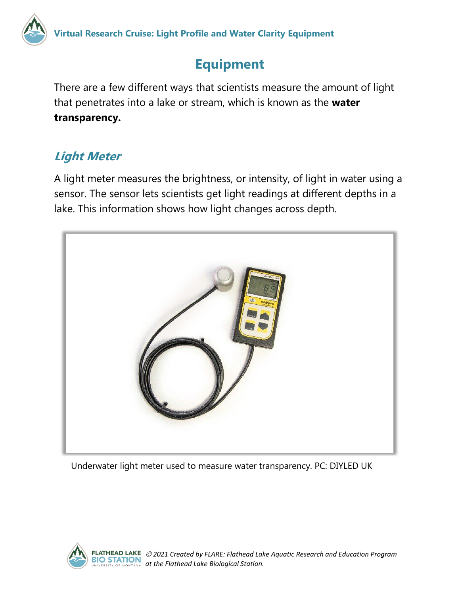

## **Equipment**

There are a few different ways that scientists measure the amount of light that penetrates into a lake or stream, which is known as the **water transparency.** 

## **Light Meter**

A light meter measures the brightness, or intensity, of light in water using a sensor. The sensor lets scientists get light readings at different depths in a lake. This information shows how light changes across depth.



Underwater light meter used to measure water transparency. PC: DIYLED UK